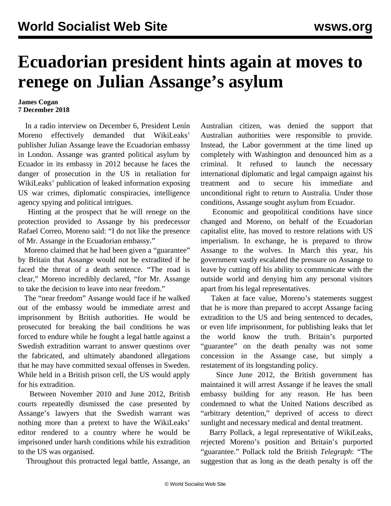## **Ecuadorian president hints again at moves to renege on Julian Assange's asylum**

## **James Cogan 7 December 2018**

 In a radio interview on December 6, President Lenín Moreno effectively demanded that WikiLeaks' publisher Julian Assange leave the Ecuadorian embassy in London. Assange was granted political asylum by Ecuador in its embassy in 2012 because he faces the danger of prosecution in the US in retaliation for WikiLeaks' publication of leaked information exposing US war crimes, diplomatic conspiracies, intelligence agency spying and political intrigues.

 Hinting at the prospect that he will renege on the protection provided to Assange by his predecessor Rafael Correo, Moreno said: "I do not like the presence of Mr. Assange in the Ecuadorian embassy."

Moreno claimed that he had been given a "guarantee" by Britain that Assange would not be extradited if he faced the threat of a death sentence. "The road is clear," Moreno incredibly declared, "for Mr. Assange to take the decision to leave into near freedom."

 The "near freedom" Assange would face if he walked out of the embassy would be immediate arrest and imprisonment by British authorities. He would be prosecuted for breaking the bail conditions he was forced to endure while he fought a legal battle against a Swedish extradition warrant to answer questions over the fabricated, and ultimately abandoned allegations that he may have committed sexual offenses in Sweden. While held in a British prison cell, the US would apply for his extradition.

 Between November 2010 and June 2012, British courts repeatedly dismissed the case presented by Assange's lawyers that the Swedish warrant was nothing more than a pretext to have the WikiLeaks' editor rendered to a country where he would be imprisoned under harsh conditions while his extradition to the US was organised.

Throughout this protracted legal battle, Assange, an

Australian citizen, was denied the support that Australian authorities were responsible to provide. Instead, the Labor government at the time lined up completely with Washington and denounced him as a criminal. It refused to launch the necessary international diplomatic and legal campaign against his treatment and to secure his immediate and unconditional right to return to Australia. Under those conditions, Assange sought asylum from Ecuador.

 Economic and geopolitical conditions have since changed and Moreno, on behalf of the Ecuadorian capitalist elite, has moved to restore relations with US imperialism. In exchange, he is prepared to throw Assange to the wolves. In March this year, his government vastly escalated the pressure on Assange to leave by cutting off his ability to communicate with the outside world and denying him any personal visitors apart from his legal representatives.

 Taken at face value, Moreno's statements suggest that he is more than prepared to accept Assange facing extradition to the US and being sentenced to decades, or even life imprisonment, for publishing leaks that let the world know the truth. Britain's purported "guarantee" on the death penalty was not some concession in the Assange case, but simply a restatement of its longstanding policy.

 Since June 2012, the British government has maintained it will arrest Assange if he leaves the small embassy building for any reason. He has been condemned to what the United Nations described as "arbitrary detention," deprived of access to direct sunlight and necessary medical and dental treatment.

 Barry Pollack, a legal representative of WikiLeaks, rejected Moreno's position and Britain's purported "guarantee." Pollack told the British *Telegraph*: "The suggestion that as long as the death penalty is off the